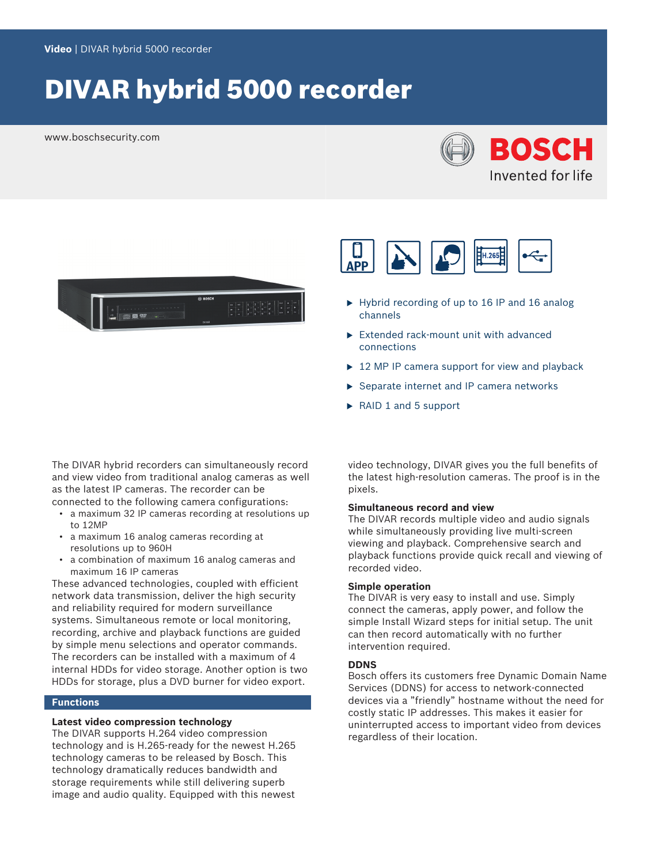# DIVAR hybrid 5000 recorder

www.boschsecurity.com







- $\blacktriangleright$  Hybrid recording of up to 16 IP and 16 analog channels
- $\blacktriangleright$  Extended rack-mount unit with advanced connections
- $\triangleright$  12 MP IP camera support for view and playback
- $\triangleright$  Separate internet and IP camera networks
- $\triangleright$  RAID 1 and 5 support

The DIVAR hybrid recorders can simultaneously record and view video from traditional analog cameras as well as the latest IP cameras. The recorder can be connected to the following camera configurations:

- a maximum 32 IP cameras recording at resolutions up to 12MP
- a maximum 16 analog cameras recording at resolutions up to 960H
- a combination of maximum 16 analog cameras and maximum 16 IP cameras

These advanced technologies, coupled with efficient network data transmission, deliver the high security and reliability required for modern surveillance systems. Simultaneous remote or local monitoring, recording, archive and playback functions are guided by simple menu selections and operator commands. The recorders can be installed with a maximum of 4 internal HDDs for video storage. Another option is two HDDs for storage, plus a DVD burner for video export.

#### **Functions**

# **Latest video compression technology**

The DIVAR supports H.264 video compression technology and is H.265-ready for the newest H.265 technology cameras to be released by Bosch. This technology dramatically reduces bandwidth and storage requirements while still delivering superb image and audio quality. Equipped with this newest

video technology, DIVAR gives you the full benefits of the latest high-resolution cameras. The proof is in the pixels.

## **Simultaneous record and view**

The DIVAR records multiple video and audio signals while simultaneously providing live multi-screen viewing and playback. Comprehensive search and playback functions provide quick recall and viewing of recorded video.

#### **Simple operation**

The DIVAR is very easy to install and use. Simply connect the cameras, apply power, and follow the simple Install Wizard steps for initial setup. The unit can then record automatically with no further intervention required.

#### **DDNS**

Bosch offers its customers free Dynamic Domain Name Services (DDNS) for access to network-connected devices via a "friendly" hostname without the need for costly static IP addresses. This makes it easier for uninterrupted access to important video from devices regardless of their location.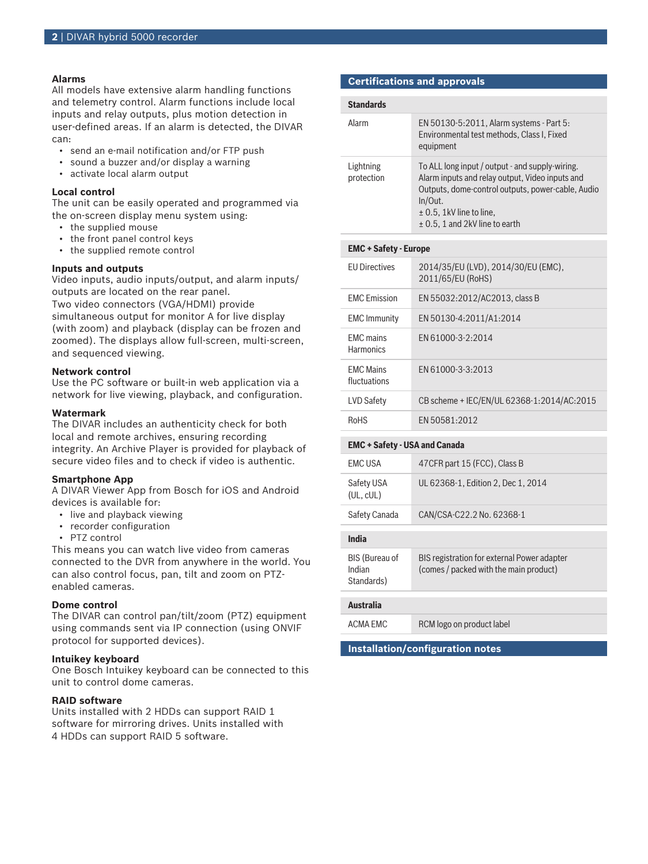## **Alarms**

All models have extensive alarm handling functions and telemetry control. Alarm functions include local inputs and relay outputs, plus motion detection in user-defined areas. If an alarm is detected, the DIVAR can:

- send an e-mail notification and/or FTP push
- sound a buzzer and/or display a warning
- activate local alarm output

#### **Local control**

The unit can be easily operated and programmed via the on-screen display menu system using:

- the supplied mouse
- the front panel control keys
- the supplied remote control

## **Inputs and outputs**

Video inputs, audio inputs/output, and alarm inputs/ outputs are located on the rear panel.

Two video connectors (VGA/HDMI) provide simultaneous output for monitor A for live display (with zoom) and playback (display can be frozen and zoomed). The displays allow full-screen, multi-screen, and sequenced viewing.

#### **Network control**

Use the PC software or built-in web application via a network for live viewing, playback, and configuration.

#### **Watermark**

The DIVAR includes an authenticity check for both local and remote archives, ensuring recording integrity. An Archive Player is provided for playback of secure video files and to check if video is authentic.

#### **Smartphone App**

A DIVAR Viewer App from Bosch for iOS and Android devices is available for:

- live and playback viewing
- recorder configuration
- PTZ control

This means you can watch live video from cameras connected to the DVR from anywhere in the world. You can also control focus, pan, tilt and zoom on PTZenabled cameras.

#### **Dome control**

The DIVAR can control pan/tilt/zoom (PTZ) equipment using commands sent via IP connection (using ONVIF protocol for supported devices).

#### **Intuikey keyboard**

One Bosch Intuikey keyboard can be connected to this unit to control dome cameras.

## **RAID software**

Units installed with 2 HDDs can support RAID 1 software for mirroring drives. Units installed with 4 HDDs can support RAID 5 software.

#### **Certifications and approvals**

| <b>Standards</b>        |                                                                                                                                                                                                                                          |
|-------------------------|------------------------------------------------------------------------------------------------------------------------------------------------------------------------------------------------------------------------------------------|
| Alarm                   | EN 50130-5:2011, Alarm systems - Part 5:<br>Environmental test methods, Class I, Fixed<br>equipment                                                                                                                                      |
| Lightning<br>protection | To ALL long input / output - and supply-wiring.<br>Alarm inputs and relay output, Video inputs and<br>Outputs, dome-control outputs, power-cable, Audio<br>In/Out.<br>$\pm$ 0.5, 1kV line to line,<br>$\pm$ 0.5, 1 and 2kV line to earth |

| $ENU - JdletV - EUIUPE$              |                                                          |  |
|--------------------------------------|----------------------------------------------------------|--|
| <b>FU Directives</b>                 | 2014/35/EU (LVD), 2014/30/EU (EMC),<br>2011/65/EU (RoHS) |  |
| <b>FMC</b> Emission                  | EN 55032:2012/AC2013. class B                            |  |
| <b>EMC</b> Immunity                  | EN 50130-4:2011/A1:2014                                  |  |
| <b>FMC</b> mains<br><b>Harmonics</b> | EN 61000-3-2:2014                                        |  |
| <b>FMC Mains</b><br>fluctuations     | FN 61000-3-3:2013                                        |  |
| LVD Safety                           | CB scheme + IEC/EN/UL 62368-1:2014/AC:2015               |  |
| <b>RoHS</b>                          | FN 50581:2012                                            |  |

#### **EMC + Safety - USA and Canada**

**EMC + Safety - Europe**

| <b>EMC USA</b>                                | 47 CFR part 15 (FCC), Class B                                                         |
|-----------------------------------------------|---------------------------------------------------------------------------------------|
| Safety USA<br>(UL, cUL)                       | UL 62368-1, Edition 2, Dec 1, 2014                                                    |
| Safety Canada                                 | CAN/CSA-C22.2 No. 62368-1                                                             |
|                                               |                                                                                       |
| India                                         |                                                                                       |
| <b>BIS (Bureau of</b><br>Indian<br>Standards) | BIS registration for external Power adapter<br>(comes / packed with the main product) |
|                                               |                                                                                       |
|                                               |                                                                                       |

# **Australia**

ACMA EMC RCM logo on product label

**Installation/configuration notes**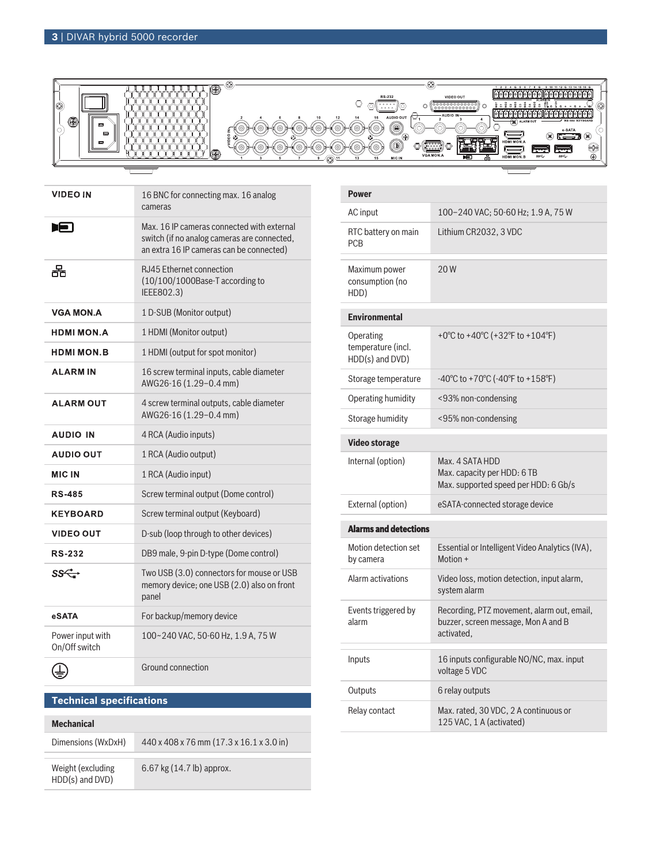

| <b>VIDEO IN</b>                   | 16 BNC for connecting max. 16 analog<br>cameras                                                                                       |
|-----------------------------------|---------------------------------------------------------------------------------------------------------------------------------------|
| T-T                               | Max. 16 IP cameras connected with external<br>switch (if no analog cameras are connected,<br>an extra 16 IP cameras can be connected) |
| 몲                                 | <b>RJ45 Ethernet connection</b><br>(10/100/1000Base-T according to<br>IEEE802.3)                                                      |
| <b>VGA MON.A</b>                  | 1 D-SUB (Monitor output)                                                                                                              |
| <b>HDMI MON.A</b>                 | 1 HDMI (Monitor output)                                                                                                               |
| <b>HDMI MON.B</b>                 | 1 HDMI (output for spot monitor)                                                                                                      |
| <b>ALARMIN</b>                    | 16 screw terminal inputs, cable diameter<br>AWG26-16 (1.29-0.4 mm)                                                                    |
| <b>ALARM OUT</b>                  | 4 screw terminal outputs, cable diameter<br>AWG26-16 (1.29-0.4 mm)                                                                    |
| <b>AUDIO IN</b>                   | 4 RCA (Audio inputs)                                                                                                                  |
| <b>AUDIO OUT</b>                  | 1 RCA (Audio output)                                                                                                                  |
| <b>MIC IN</b>                     | 1 RCA (Audio input)                                                                                                                   |
| <b>RS-485</b>                     | Screw terminal output (Dome control)                                                                                                  |
| <b>KEYBOARD</b>                   | Screw terminal output (Keyboard)                                                                                                      |
| <b>VIDEO OUT</b>                  | D-sub (loop through to other devices)                                                                                                 |
| <b>RS-232</b>                     | DB9 male, 9-pin D-type (Dome control)                                                                                                 |
| ss←                               | Two USB (3.0) connectors for mouse or USB<br>memory device; one USB (2.0) also on front<br>panel                                      |
| eSATA                             | For backup/memory device                                                                                                              |
| Power input with<br>On/Off switch | 100~240 VAC, 50-60 Hz, 1.9 A, 75 W                                                                                                    |
|                                   | Ground connection                                                                                                                     |

# **Technical specifications**

| <b>Mechanical</b>                     |                                          |  |
|---------------------------------------|------------------------------------------|--|
| Dimensions (WxDxH)                    | 440 x 408 x 76 mm (17.3 x 16.1 x 3.0 in) |  |
| Weight (excluding)<br>HDD(s) and DVD) | 6.67 kg $(14.7 \text{ lb})$ approx.      |  |

| <b>Power</b>                                       |                                                                                                 |  |
|----------------------------------------------------|-------------------------------------------------------------------------------------------------|--|
| AC input                                           | 100-240 VAC; 50-60 Hz; 1.9 A, 75 W                                                              |  |
| RTC battery on main<br><b>PCB</b>                  | Lithium CR2032, 3 VDC                                                                           |  |
| Maximum power<br>consumption (no<br>HDD)           | 20W                                                                                             |  |
| <b>Environmental</b>                               |                                                                                                 |  |
| Operating<br>temperature (incl.<br>HDD(s) and DVD) | +0°C to +40°C (+32°F to +104°F)                                                                 |  |
| Storage temperature                                | $-40^{\circ}$ C to +70 $^{\circ}$ C ( $-40^{\circ}$ F to +158 $^{\circ}$ F)                     |  |
| Operating humidity                                 | <93% non-condensing                                                                             |  |
| Storage humidity                                   | <95% non-condensing                                                                             |  |
| <b>Video storage</b>                               |                                                                                                 |  |
| Internal (option)                                  | Max. 4 SATA HDD<br>Max. capacity per HDD: 6 TB<br>Max. supported speed per HDD: 6 Gb/s          |  |
| External (option)                                  | eSATA-connected storage device                                                                  |  |
| <b>Alarms and detections</b>                       |                                                                                                 |  |
| Motion detection set<br>by camera                  | Essential or Intelligent Video Analytics (IVA),<br>Motion +                                     |  |
| Alarm activations                                  | Video loss, motion detection, input alarm,<br>system alarm                                      |  |
| Events triggered by<br>alarm                       | Recording, PTZ movement, alarm out, email,<br>buzzer, screen message, Mon A and B<br>activated. |  |
| Inputs                                             | 16 inputs configurable NO/NC, max. input<br>voltage 5 VDC                                       |  |
| Outputs                                            | 6 relay outputs                                                                                 |  |
| Relay contact                                      | Max. rated, 30 VDC, 2 A continuous or<br>125 VAC, 1 A (activated)                               |  |
|                                                    |                                                                                                 |  |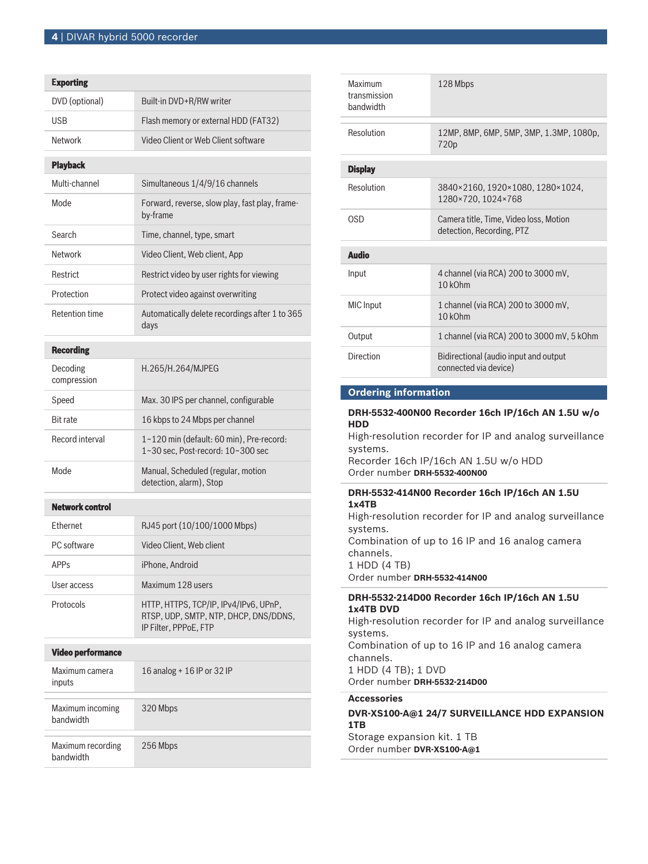| <b>Exporting</b>               |                                                                                                         |  |
|--------------------------------|---------------------------------------------------------------------------------------------------------|--|
| DVD (optional)                 | Built-in DVD+R/RW writer                                                                                |  |
| USB                            | Flash memory or external HDD (FAT32)                                                                    |  |
| <b>Network</b>                 | Video Client or Web Client software                                                                     |  |
| <b>Playback</b>                |                                                                                                         |  |
| Multi-channel                  | Simultaneous 1/4/9/16 channels                                                                          |  |
| Mode                           | Forward, reverse, slow play, fast play, frame-<br>by-frame                                              |  |
| Search                         | Time, channel, type, smart                                                                              |  |
| Network                        | Video Client, Web client, App                                                                           |  |
| Restrict                       | Restrict video by user rights for viewing                                                               |  |
| Protection                     | Protect video against overwriting                                                                       |  |
| <b>Retention time</b>          | Automatically delete recordings after 1 to 365<br>days                                                  |  |
| <b>Recording</b>               |                                                                                                         |  |
| Decoding<br>compression        | H.265/H.264/MJPEG                                                                                       |  |
| Speed                          | Max. 30 IPS per channel, configurable                                                                   |  |
| <b>Bit rate</b>                | 16 kbps to 24 Mbps per channel                                                                          |  |
| Record interval                | 1~120 min (default: 60 min), Pre-record:<br>1~30 sec, Post-record: 10~300 sec                           |  |
| Mode                           | Manual, Scheduled (regular, motion<br>detection, alarm), Stop                                           |  |
| <b>Network control</b>         |                                                                                                         |  |
| Ethernet                       | RJ45 port (10/100/1000 Mbps)                                                                            |  |
| PC software                    | Video Client, Web client                                                                                |  |
| <b>APPs</b>                    | iPhone, Android                                                                                         |  |
| User access                    | Maximum 128 users                                                                                       |  |
| Protocols                      | HTTP, HTTPS, TCP/IP, IPv4/IPv6, UPnP,<br>RTSP, UDP, SMTP, NTP, DHCP, DNS/DDNS,<br>IP Filter, PPPoE, FTP |  |
| <b>Video performance</b>       |                                                                                                         |  |
| Maximum camera<br>inputs       | 16 analog + 16 IP or 32 IP                                                                              |  |
| Maximum incoming<br>bandwidth  | 320 Mbps                                                                                                |  |
| Maximum recording<br>bandwidth | 256 Mbps                                                                                                |  |

| 128 Mbps                                                            |  |  |
|---------------------------------------------------------------------|--|--|
| 12MP, 8MP, 6MP, 5MP, 3MP, 1.3MP, 1080p,<br>720 <sub>p</sub>         |  |  |
| <b>Display</b>                                                      |  |  |
| 3840×2160, 1920×1080, 1280×1024,<br>1280×720.1024×768               |  |  |
| Camera title. Time. Video loss. Motion<br>detection, Recording, PTZ |  |  |
| <b>Audio</b>                                                        |  |  |
| 4 channel (via RCA) 200 to 3000 mV,<br>$10$ k $Ohm$                 |  |  |
| 1 channel (via RCA) 200 to 3000 mV,<br>10 <sub>kOhm</sub>           |  |  |
| 1 channel (via RCA) 200 to 3000 mV, 5 kOhm                          |  |  |
| Bidirectional (audio input and output<br>connected via device)      |  |  |
|                                                                     |  |  |

# **Ordering information**

# **DRH-5532-400N00 Recorder 16ch IP/16ch AN 1.5U w/o HDD**

High-resolution recorder for IP and analog surveillance systems.

Recorder 16ch IP/16ch AN 1.5U w/o HDD Order number **DRH-5532-400N00**

# **DRH-5532-414N00 Recorder 16ch IP/16ch AN 1.5U 1x4TB**

High-resolution recorder for IP and analog surveillance systems. Combination of up to 16 IP and 16 analog camera channels. 1 HDD (4 TB) Order number **DRH-5532-414N00**

# **DRH-5532-214D00 Recorder 16ch IP/16ch AN 1.5U 1x4TB DVD**

High-resolution recorder for IP and analog surveillance systems.

Combination of up to 16 IP and 16 analog camera channels. 1 HDD (4 TB); 1 DVD

Order number **DRH-5532-214D00**

# **Accessories**

**DVR-XS100-A@1 24/7 SURVEILLANCE HDD EXPANSION 1TB**

Storage expansion kit. 1 TB Order number **DVR-XS100-A@1**